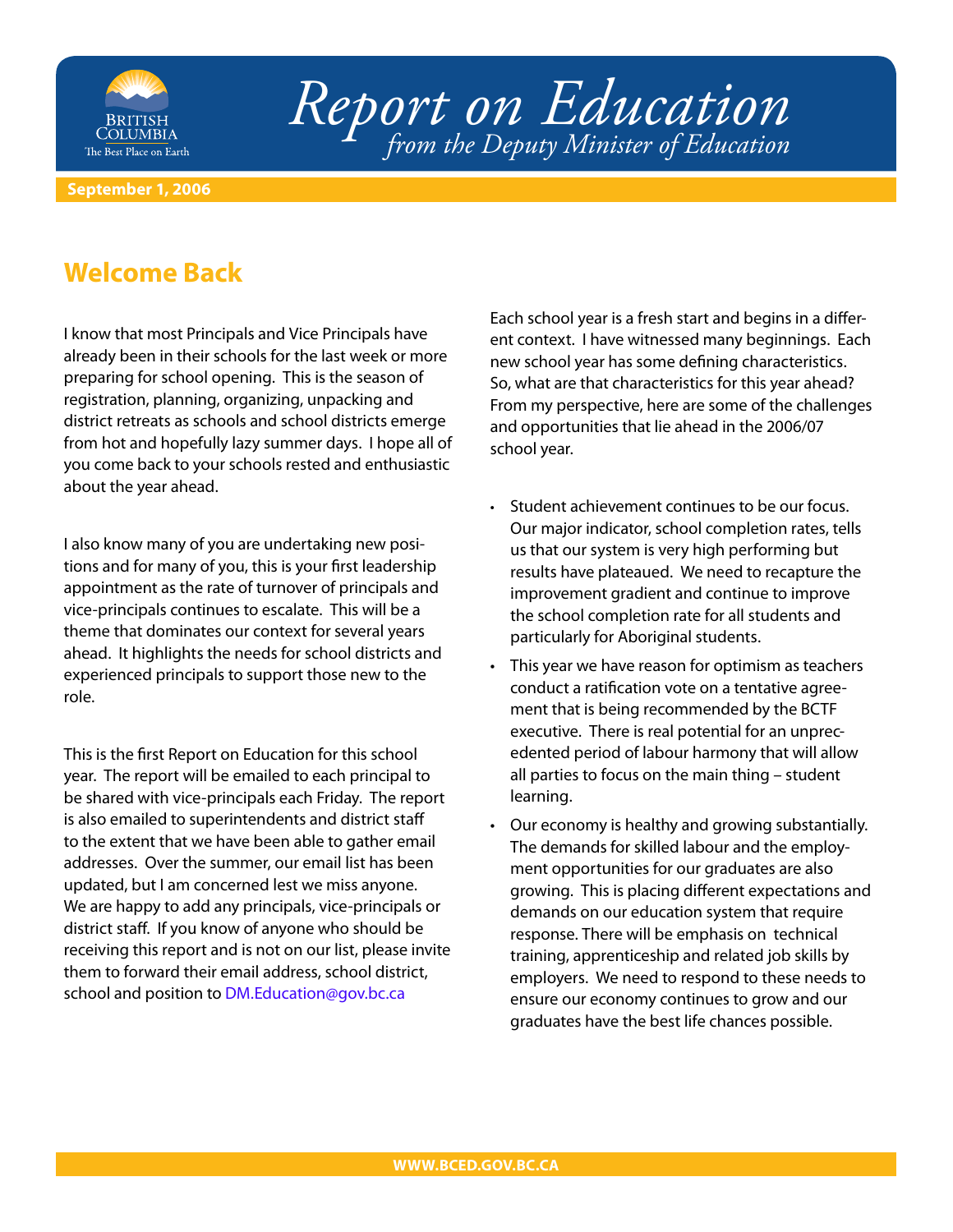

# *Report on Education from the Deputy Minister of Education*

#### **September 1, 2006**

#### **Welcome Back**

I know that most Principals and Vice Principals have already been in their schools for the last week or more preparing for school opening. This is the season of registration, planning, organizing, unpacking and district retreats as schools and school districts emerge from hot and hopefully lazy summer days. I hope all of you come back to your schools rested and enthusiastic about the year ahead.

I also know many of you are undertaking new positions and for many of you, this is your first leadership appointment as the rate of turnover of principals and vice-principals continues to escalate. This will be a theme that dominates our context for several years ahead. It highlights the needs for school districts and experienced principals to support those new to the role.

This is the first Report on Education for this school year. The report will be emailed to each principal to be shared with vice-principals each Friday. The report is also emailed to superintendents and district staff to the extent that we have been able to gather email addresses. Over the summer, our email list has been updated, but I am concerned lest we miss anyone. We are happy to add any principals, vice-principals or district staff. If you know of anyone who should be receiving this report and is not on our list, please invite them to forward their email address, school district, school and position to [DM.Education@gov.bc.ca](mailto:dm.education@gov.bc.ca)

Each school year is a fresh start and begins in a different context. I have witnessed many beginnings. Each new school year has some defining characteristics. So, what are that characteristics for this year ahead? From my perspective, here are some of the challenges and opportunities that lie ahead in the 2006/07 school year.

- Student achievement continues to be our focus. Our major indicator, school completion rates, tells us that our system is very high performing but results have plateaued. We need to recapture the improvement gradient and continue to improve the school completion rate for all students and particularly for Aboriginal students.
- This year we have reason for optimism as teachers conduct a ratification vote on a tentative agreement that is being recommended by the BCTF executive. There is real potential for an unprecedented period of labour harmony that will allow all parties to focus on the main thing – student learning.
- Our economy is healthy and growing substantially. The demands for skilled labour and the employment opportunities for our graduates are also growing. This is placing different expectations and demands on our education system that require response. There will be emphasis on technical training, apprenticeship and related job skills by employers. We need to respond to these needs to ensure our economy continues to grow and our graduates have the best life chances possible.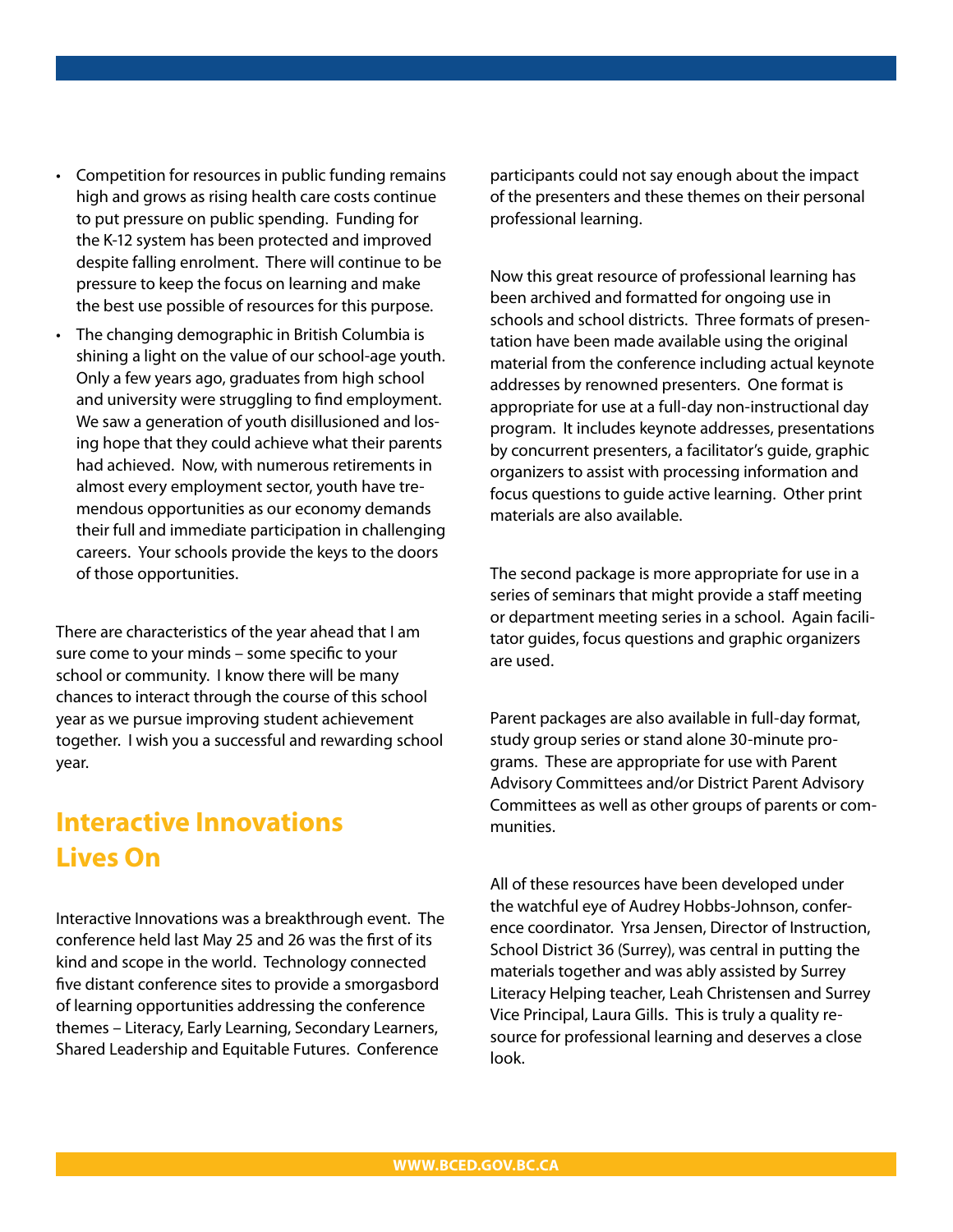- Competition for resources in public funding remains high and grows as rising health care costs continue to put pressure on public spending. Funding for the K-12 system has been protected and improved despite falling enrolment. There will continue to be pressure to keep the focus on learning and make the best use possible of resources for this purpose.
- The changing demographic in British Columbia is shining a light on the value of our school-age youth. Only a few years ago, graduates from high school and university were struggling to find employment. We saw a generation of youth disillusioned and losing hope that they could achieve what their parents had achieved. Now, with numerous retirements in almost every employment sector, youth have tremendous opportunities as our economy demands their full and immediate participation in challenging careers. Your schools provide the keys to the doors of those opportunities.

There are characteristics of the year ahead that I am sure come to your minds – some specific to your school or community. I know there will be many chances to interact through the course of this school year as we pursue improving student achievement together. I wish you a successful and rewarding school year.

## **Interactive Innovations Lives On**

Interactive Innovations was a breakthrough event. The conference held last May 25 and 26 was the first of its kind and scope in the world. Technology connected five distant conference sites to provide a smorgasbord of learning opportunities addressing the conference themes – Literacy, Early Learning, Secondary Learners, Shared Leadership and Equitable Futures. Conference

participants could not say enough about the impact of the presenters and these themes on their personal professional learning.

Now this great resource of professional learning has been archived and formatted for ongoing use in schools and school districts. Three formats of presentation have been made available using the original material from the conference including actual keynote addresses by renowned presenters. One format is appropriate for use at a full-day non-instructional day program. It includes keynote addresses, presentations by concurrent presenters, a facilitator's guide, graphic organizers to assist with processing information and focus questions to guide active learning. Other print materials are also available.

The second package is more appropriate for use in a series of seminars that might provide a staff meeting or department meeting series in a school. Again facilitator guides, focus questions and graphic organizers are used.

Parent packages are also available in full-day format, study group series or stand alone 30-minute programs. These are appropriate for use with Parent Advisory Committees and/or District Parent Advisory Committees as well as other groups of parents or communities.

All of these resources have been developed under the watchful eye of Audrey Hobbs-Johnson, conference coordinator. Yrsa Jensen, Director of Instruction, School District 36 (Surrey), was central in putting the materials together and was ably assisted by Surrey Literacy Helping teacher, Leah Christensen and Surrey Vice Principal, Laura Gills. This is truly a quality resource for professional learning and deserves a close look.